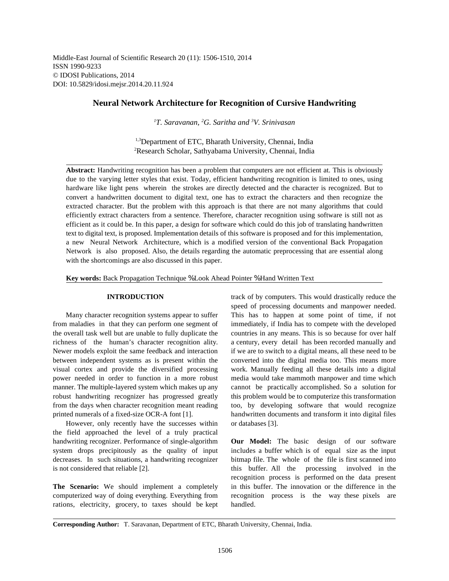Middle-East Journal of Scientific Research 20 (11): 1506-1510, 2014 ISSN 1990-9233 © IDOSI Publications, 2014 DOI: 10.5829/idosi.mejsr.2014.20.11.924

# **Neural Network Architecture for Recognition of Cursive Handwriting**

*T. Saravanan, G. Saritha and V. Srinivasan <sup>1</sup> <sup>2</sup> <sup>3</sup>*

<sup>1,3</sup>Department of ETC, Bharath University, Chennai, India <sup>2</sup>Research Scholar, Sathyabama University, Chennai, India

**Abstract:** Handwriting recognition has been a problem that computers are not efficient at. This is obviously due to the varying letter styles that exist. Today, efficient handwriting recognition is limited to ones, using hardware like light pens wherein the strokes are directly detected and the character is recognized. But to convert a handwritten document to digital text, one has to extract the characters and then recognize the extracted character. But the problem with this approach is that there are not many algorithms that could efficiently extract characters from a sentence. Therefore, character recognition using software is still not as efficient as it could be. In this paper, a design for software which could do this job of translating handwritten text to digital text, is proposed. Implementation details of this software is proposed and for this implementation, a new Neural Network Architecture, which is a modified version of the conventional Back Propagation Network is also proposed. Also, the details regarding the automatic preprocessing that are essential along with the shortcomings are also discussed in this paper.

**Key words:** Back Propagation Technique % Look Ahead Pointer % Hand Written Text

from maladies in that they can perform one segment of immediately, if India has to compete with the developed the overall task well but are unable to fully duplicate the countries in any means. This is so because for over half richness of the human's character recognition ality. a century, every detail has been recorded manually and Newer models exploit the same feedback and interaction if we are to switch to a digital means, all these need to be between independent systems as is present within the converted into the digital media too. This means more visual cortex and provide the diversified processing work. Manually feeding all these details into a digital power needed in order to function in a more robust media would take mammoth manpower and time which manner. The multiple-layered system which makes up any cannot be practically accomplished. So a solution for robust handwriting recognizer has progressed greatly this problem would be to computerize this transformation from the days when character recognition meant reading too, by developing software that would recognize printed numerals of a fixed-size OCR-A font [1]. handwritten documents and transform it into digital files

However, only recently have the successes within or databases [3]. the field approached the level of a truly practical handwriting recognizer. Performance of single-algorithm **Our Model:** The basic design of our software system drops precipitously as the quality of input includes a buffer which is of equal size as the input decreases. In such situations, a handwriting recognizer bitmap file. The whole of the file is first scanned into is not considered that reliable [2]. this buffer. All the processing involved in the

computerized way of doing everything. Everything from recognition process is the way these pixels are rations, electricity, grocery, to taxes should be kept handled.

**INTRODUCTION** track of by computers. This would drastically reduce the Many character recognition systems appear to suffer This has to happen at some point of time, if not speed of processing documents and manpower needed.

**The Scenario:** We should implement a completely in this buffer. The innovation or the difference in the recognition process is performed on the data present

**Corresponding Author:** T. Saravanan, Department of ETC, Bharath University, Chennai, India.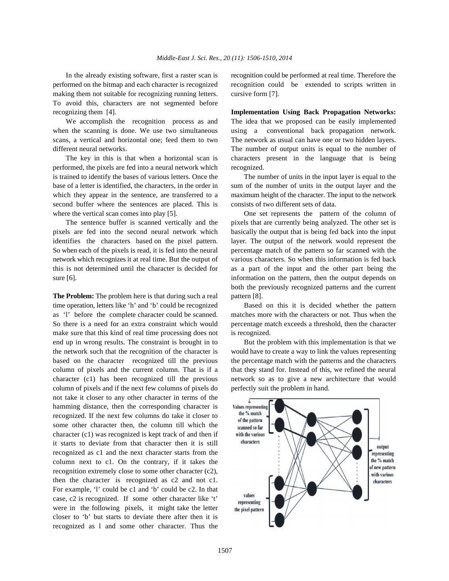making them not suitable for recognizing running letters. cursive form [7]. To avoid this, characters are not segmented before recognizing them [4]. **Implementation Using Back Propagation Networks:**

when the scanning is done. We use two simultaneous using a conventional back propagation network. scans, a vertical and horizontal one; feed them to two The network as usual can have one or two hidden layers. different neural networks. The number of output units is equal to the number of

performed, the pixels are fed into a neural network which recognized. is trained to identify the bases of various letters. Once the The number of units in the input layer is equal to the base of a letter is identified, the characters, in the order in sum of the number of units in the output layer and the which they appear in the sentence, are transferred to a maximum height of the character. The input to the network second buffer where the sentences are placed. This is consists of two different sets of data. where the vertical scan comes into play [5]. One set represents the pattern of the column of

pixels are fed into the second neural network which basically the output that is being fed back into the input identifies the characters based on the pixel pattern. layer. The output of the network would represent the So when each of the pixels is read, it is fed into the neural percentage match of the pattern so far scanned with the network which recognizes it at real time. But the output of various characters. So when this information is fed back this is not determined until the character is decided for as a part of the input and the other part being the sure [6]. information on the pattern, then the output depends on

**The Problem:** The problem here is that during such a real pattern [8]. time operation, letters like 'h' and 'b' could be recognized Based on this it is decided whether the pattern as 'l' before the complete character could be scanned. matches more with the characters or not. Thus when the So there is a need for an extra constraint which would percentage match exceeds a threshold, then the character make sure that this kind of real time processing does not is recognized. end up in wrong results. The constraint is brought in to But the problem with this implementation is that we the network such that the recognition of the character is would have to create a way to link the values representing based on the character recognized till the previous the percentage match with the patterns and the characters column of pixels and the current column. That is if a that they stand for. Instead of this, we refined the neural character (c1) has been recognized till the previous network so as to give a new architecture that would column of pixels and if the next few columns of pixels do perfectly suit the problem in hand. not take it closer to any other character in terms of the hamming distance, then the corresponding character is recognized. If the next few columns do take it closer to some other character then, the column till which the character (c1) was recognized is kept track of and then if it starts to deviate from that character then it is still recognized as c1 and the next character starts from the column next to c1. On the contrary, if it takes the recognition extremely close to some other character (c2), then the character is recognized as c2 and not c1. For example, 'l' could be c1 and 'b' could be c2. In that case, c2 is recognized. If some other character like 't' were in the following pixels, it might take the letter closer to 'b' but starts to deviate there after then it is recognized as l and some other character. Thus the

In the already existing software, first a raster scan is recognition could be performed at real time. Therefore the performed on the bitmap and each character is recognized recognition could be extended to scripts written in

We accomplish the recognition process as and The idea that we proposed can be easily implemented The key in this is that when a horizontal scan is characters present in the language that is being

The sentence buffer is scanned vertically and the pixels that are currently being analyzed. The other set is both the previously recognized patterns and the current

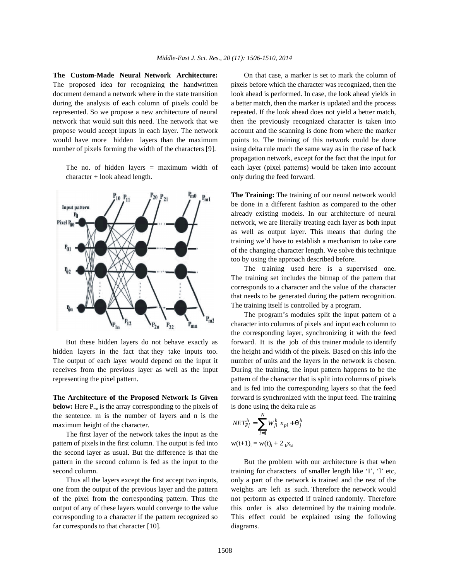The proposed idea for recognizing the handwritten pixels before which the character was recognized, then the document demand a network where in the state transition look ahead is performed. In case, the look ahead yields in during the analysis of each column of pixels could be a better match, then the marker is updated and the process represented. So we propose a new architecture of neural repeated. If the look ahead does not yield a better match, network that would suit this need. The network that we then the previously recognized character is taken into propose would accept inputs in each layer. The network account and the scanning is done from where the marker would have more hidden layers than the maximum points to. The training of this network could be done number of pixels forming the width of the characters [9]. using delta rule much the same way as in the case of back

character + look ahead length.  $\qquad \qquad$  only during the feed forward.



hidden layers in the fact that they take inputs too. the height and width of the pixels. Based on this info the The output of each layer would depend on the input it number of units and the layers in the network is chosen. receives from the previous layer as well as the input During the training, the input pattern happens to be the representing the pixel pattern. pattern of the character that is split into columns of pixels

**below:** Here  $P_{mn}$  is the array corresponding to the pixels of is done using the delta rule as the sentence. m is the number of layers and n is the maximum height of the character.

The first layer of the network takes the input as the pattern of pixels in the first column. The output is fed into the second layer as usual. But the difference is that the pattern in the second column is fed as the input to the But the problem with our architecture is that when

far corresponds to that character [10]. diagrams.

**The Custom-Made Neural Network Architecture:** On that case, a marker is set to mark the column of The no. of hidden layers = maximum width of each layer (pixel patterns) would be taken into account propagation network, except for the fact that the input for

> **The Training:** The training of our neural network would be done in a different fashion as compared to the other already existing models. In our architecture of neural network, we are literally treating each layer as both input as well as output layer. This means that during the training we'd have to establish a mechanism to take care of the changing character length. We solve this technique too by using the approach described before.

> The training used here is a supervised one. The training set includes the bitmap of the pattern that corresponds to a character and the value of the character that needs to be generated during the pattern recognition. The training itself is controlled by a program.

But these hidden layers do not behave exactly as forward. It is the job of this trainer module to identify **The Architecture of the Proposed Network Is Given** forward is synchronized with the input feed. The training The program's modules split the input pattern of a character into columns of pixels and input each column to the corresponding layer, synchronizing it with the feed and is fed into the corresponding layers so that the feed

$$
NET_{Pj}^{h} = \sum_{i=1}^{N} W_{ji}^{h} x_{pi} + q_{j}^{h}
$$
  
w(t+1)<sub>i</sub> = w(t)<sub>i</sub> + 2<sub>k</sub>x<sub>ki</sub>

second column. training for characters of smaller length like 'I', 'l' etc, Thus all the layers except the first accept two inputs, only a part of the network is trained and the rest of the one from the output of the previous layer and the pattern weights are left as such. Therefore the network would of the pixel from the corresponding pattern. Thus the not perform as expected if trained randomly. Therefore output of any of these layers would converge to the value this order is also determined by the training module. corresponding to a character if the pattern recognized so This effect could be explained using the following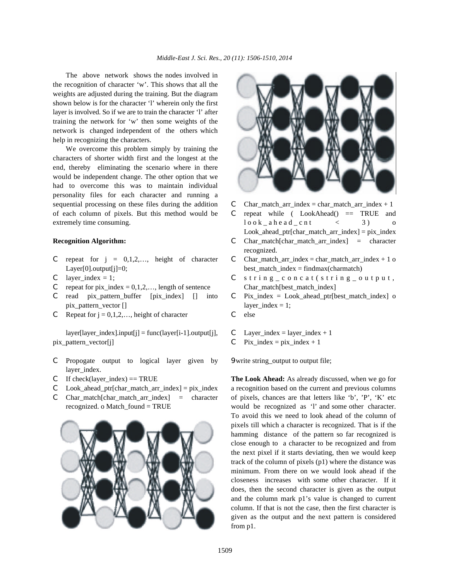The above network shows the nodes involved in the recognition of character 'w'. This shows that all the weights are adjusted during the training. But the diagram shown below is for the character 'l' wherein only the first layer is involved. So if we are to train the character 'l' after training the network for 'w' then some weights of the network is changed independent of the others which help in recognizing the characters.

We overcome this problem simply by training the characters of shorter width first and the longest at the end, thereby eliminating the scenario where in there would be independent change. The other option that we had to overcome this was to maintain individual personality files for each character and running a sequential processing on these files during the addition  $\binom{m}{k}$  Char\_match\_arr\_index = char\_match\_arr\_index + 1 of each column of pixels. But this method would be  $C$  repeat while (LookAhead() == TRUE and extremely time consuming.  $\begin{array}{cccc} \text{loc } k \text{ and } \text{c} \text{ at } k \leq 3 \end{array}$  o

- C repeat for  $j = 0,1,2,...$ , height of character C Char\_match\_arr\_index = char\_match\_arr\_index + 1 o Layer[0].output[j]=0; best\_match\_index = findmax(charmatch)
- 
- C repeat for pix\_index =  $0,1,2,...$ , length of sentence Char\_match[best\_match\_index]
- C read pix\_pattern\_buffer  $[pix\_index]$   $[]$  into C Pix\_index = Look\_ahead\_ptr $[best\_match\_index]$  o pix\_pattern\_vector [] layer\_index = 1;
- C Repeat for  $j = 0, 1, 2, \ldots$ , height of character C else

 $layer[layer~index].input[i] = func(layer[i-1].output[i],$  C Layer index = layer index + 1 pix\_pattern\_vector[j] C Pix\_index = pix\_index + 1

- C Propogate output to logical layer given by 9write string\_output to output file; layer index.
- 
- 
- 





- 
- 
- **Recognition Algorithm:** C Char\_match[char\_match\_arr\_index] = character  $Look\_ahead\_ptr[char\_match\_arr\_index] = pix\_index$ 
	- recognized.
	-
- C layer\_index = 1;  $C$  string\_concat(string\_output,
	-
	-
	-
	-

C If check(layer\_index) == TRUE **The Look Ahead:** As already discussed, when we go for C Look ahead ptr[char match arr index] = pix\_index a recognition based on the current and previous columns C Char\_match[char\_match\_arr\_index] = character of pixels, chances are that letters like 'b', 'P', 'K' etc recognized. o Match\_found = TRUE would be recognized as 'l' and some other character. To avoid this we need to look ahead of the column of pixels till which a character is recognized. That is if the hamming distance of the pattern so far recognized is close enough to a character to be recognized and from the next pixel if it starts deviating, then we would keep track of the column of pixels (p1) where the distance was minimum. From there on we would look ahead if the closeness increases with some other character. If it does, then the second character is given as the output and the column mark p1's value is changed to current column. If that is not the case, then the first character is given as the output and the next pattern is considered from p1.